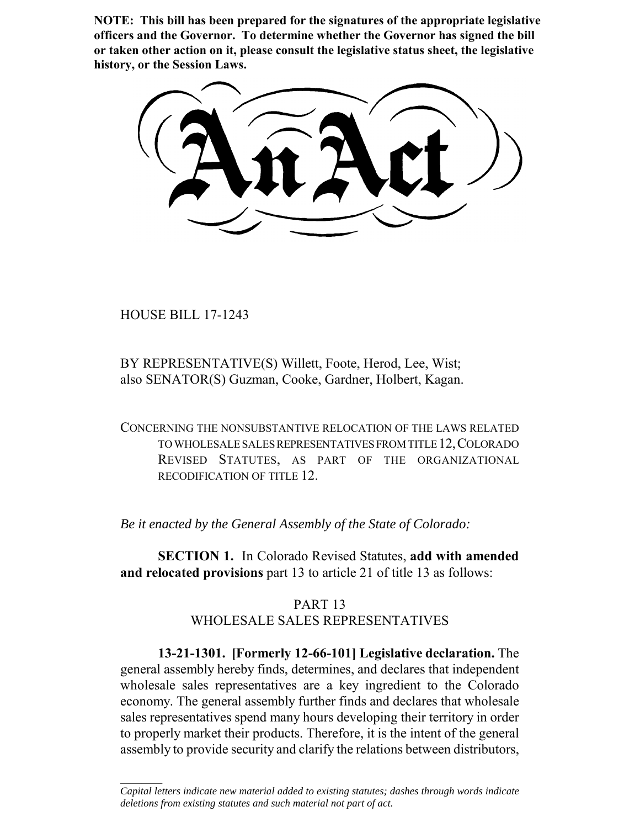**NOTE: This bill has been prepared for the signatures of the appropriate legislative officers and the Governor. To determine whether the Governor has signed the bill or taken other action on it, please consult the legislative status sheet, the legislative history, or the Session Laws.**

HOUSE BILL 17-1243

 $\frac{1}{2}$ 

BY REPRESENTATIVE(S) Willett, Foote, Herod, Lee, Wist; also SENATOR(S) Guzman, Cooke, Gardner, Holbert, Kagan.

CONCERNING THE NONSUBSTANTIVE RELOCATION OF THE LAWS RELATED TO WHOLESALE SALES REPRESENTATIVES FROM TITLE 12,COLORADO REVISED STATUTES, AS PART OF THE ORGANIZATIONAL RECODIFICATION OF TITLE 12.

*Be it enacted by the General Assembly of the State of Colorado:*

**SECTION 1.** In Colorado Revised Statutes, **add with amended and relocated provisions** part 13 to article 21 of title 13 as follows:

## PART 13 WHOLESALE SALES REPRESENTATIVES

**13-21-1301. [Formerly 12-66-101] Legislative declaration.** The general assembly hereby finds, determines, and declares that independent wholesale sales representatives are a key ingredient to the Colorado economy. The general assembly further finds and declares that wholesale sales representatives spend many hours developing their territory in order to properly market their products. Therefore, it is the intent of the general assembly to provide security and clarify the relations between distributors,

*Capital letters indicate new material added to existing statutes; dashes through words indicate deletions from existing statutes and such material not part of act.*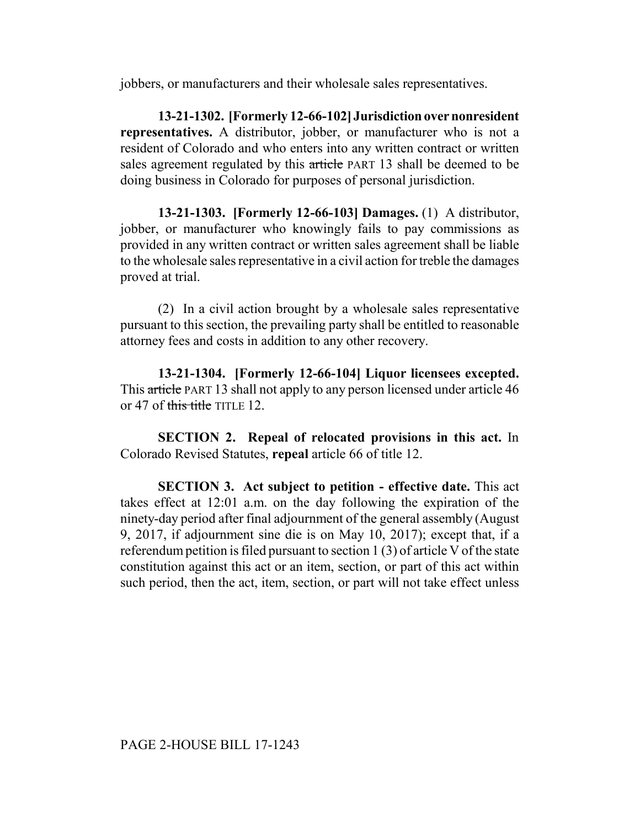jobbers, or manufacturers and their wholesale sales representatives.

**13-21-1302. [Formerly 12-66-102] Jurisdiction over nonresident representatives.** A distributor, jobber, or manufacturer who is not a resident of Colorado and who enters into any written contract or written sales agreement regulated by this article PART 13 shall be deemed to be doing business in Colorado for purposes of personal jurisdiction.

**13-21-1303. [Formerly 12-66-103] Damages.** (1) A distributor, jobber, or manufacturer who knowingly fails to pay commissions as provided in any written contract or written sales agreement shall be liable to the wholesale sales representative in a civil action for treble the damages proved at trial.

(2) In a civil action brought by a wholesale sales representative pursuant to this section, the prevailing party shall be entitled to reasonable attorney fees and costs in addition to any other recovery.

**13-21-1304. [Formerly 12-66-104] Liquor licensees excepted.** This article PART 13 shall not apply to any person licensed under article 46 or 47 of this title TITLE 12.

**SECTION 2. Repeal of relocated provisions in this act.** In Colorado Revised Statutes, **repeal** article 66 of title 12.

**SECTION 3. Act subject to petition - effective date.** This act takes effect at 12:01 a.m. on the day following the expiration of the ninety-day period after final adjournment of the general assembly (August 9, 2017, if adjournment sine die is on May 10, 2017); except that, if a referendum petition is filed pursuant to section 1 (3) of article V of the state constitution against this act or an item, section, or part of this act within such period, then the act, item, section, or part will not take effect unless